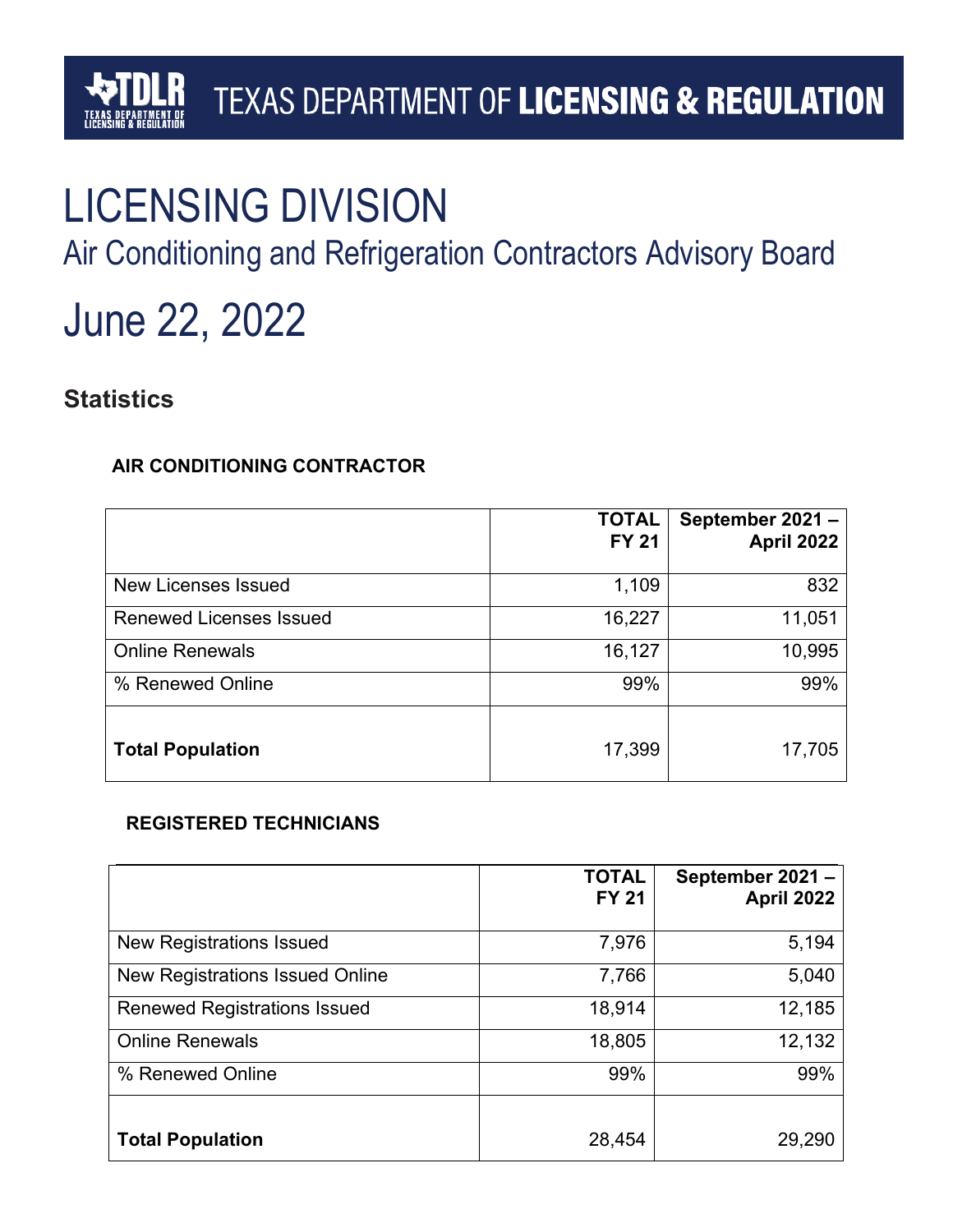# LICENSING DIVISION

Air Conditioning and Refrigeration Contractors Advisory Board

# June 22, 2022

## **Statistics**

#### **AIR CONDITIONING CONTRACTOR**

|                                | <b>TOTAL</b><br><b>FY 21</b> | September 2021-<br>April 2022 |
|--------------------------------|------------------------------|-------------------------------|
| New Licenses Issued            | 1,109                        | 832                           |
| <b>Renewed Licenses Issued</b> | 16,227                       | 11,051                        |
| <b>Online Renewals</b>         | 16,127                       | 10,995                        |
| % Renewed Online               | 99%                          | 99%                           |
| <b>Total Population</b>        | 17,399                       | 17,705                        |

#### **REGISTERED TECHNICIANS**

|                                        | <b>TOTAL</b><br><b>FY 21</b> | September 2021-<br>April 2022 |
|----------------------------------------|------------------------------|-------------------------------|
| <b>New Registrations Issued</b>        | 7,976                        | 5,194                         |
| <b>New Registrations Issued Online</b> | 7,766                        | 5,040                         |
| <b>Renewed Registrations Issued</b>    | 18,914                       | 12,185                        |
| <b>Online Renewals</b>                 | 18,805                       | 12,132                        |
| % Renewed Online                       | 99%                          | 99%                           |
|                                        |                              |                               |
| <b>Total Population</b>                | 28,454                       | 29,290                        |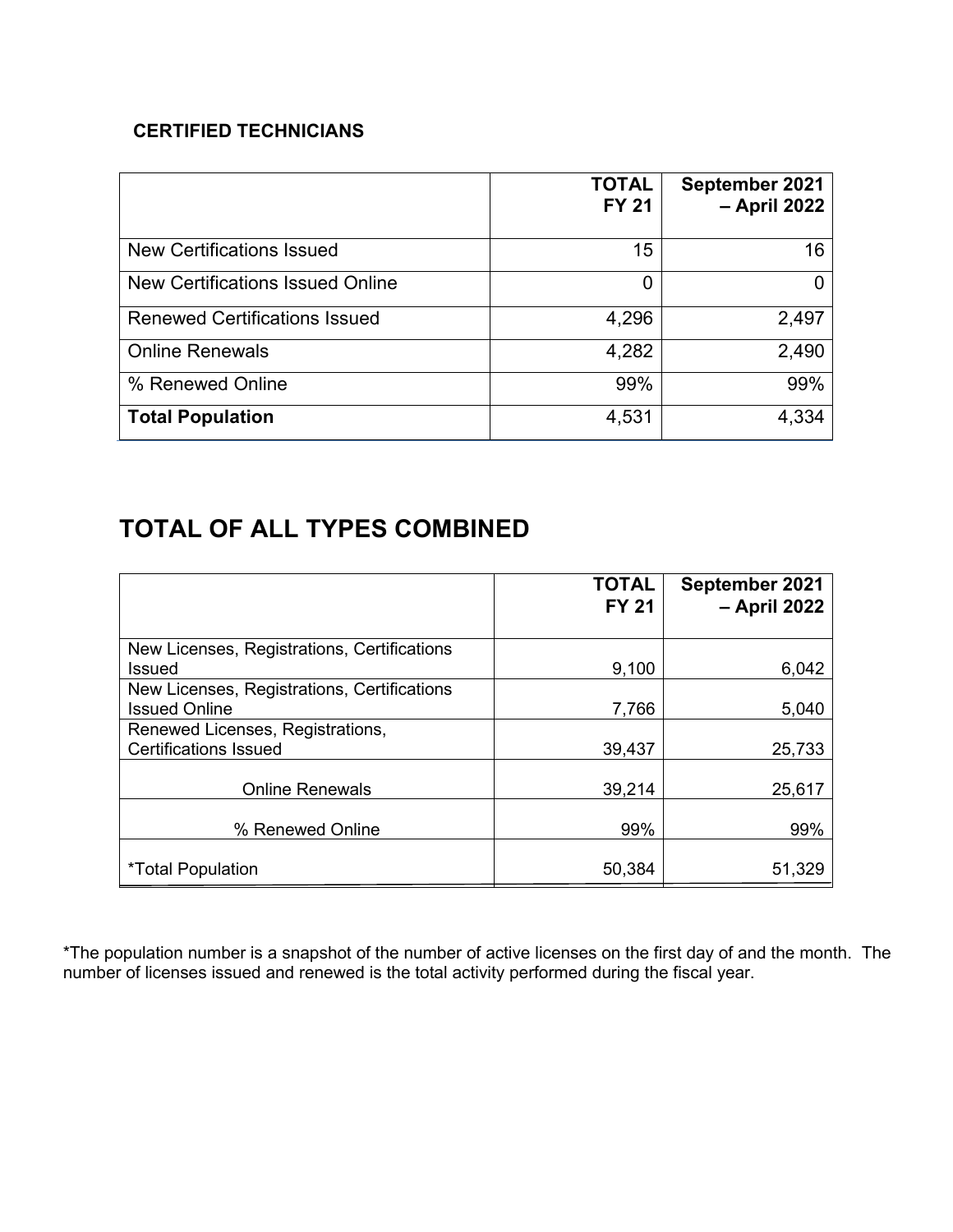#### **CERTIFIED TECHNICIANS**

|                                      | <b>TOTAL</b><br><b>FY 21</b> | September 2021<br>- April 2022 |
|--------------------------------------|------------------------------|--------------------------------|
| <b>New Certifications Issued</b>     | 15                           | 16                             |
| New Certifications Issued Online     | 0                            | 0                              |
| <b>Renewed Certifications Issued</b> | 4,296                        | 2,497                          |
| <b>Online Renewals</b>               | 4,282                        | 2,490                          |
| % Renewed Online                     | 99%                          | 99%                            |
| <b>Total Population</b>              | 4,531                        | 4,334                          |

## **TOTAL OF ALL TYPES COMBINED**

|                                                                     | <b>TOTAL</b><br><b>FY 21</b> | September 2021<br>- April 2022 |
|---------------------------------------------------------------------|------------------------------|--------------------------------|
| New Licenses, Registrations, Certifications<br>Issued               | 9,100                        | 6,042                          |
| New Licenses, Registrations, Certifications<br><b>Issued Online</b> | 7,766                        | 5,040                          |
| Renewed Licenses, Registrations,<br><b>Certifications Issued</b>    | 39,437                       | 25,733                         |
| <b>Online Renewals</b>                                              | 39,214                       | 25,617                         |
| % Renewed Online                                                    | 99%                          | 99%                            |
| <i>*</i> Total Population                                           | 50,384                       | 51,329                         |

\*The population number is a snapshot of the number of active licenses on the first day of and the month. The number of licenses issued and renewed is the total activity performed during the fiscal year.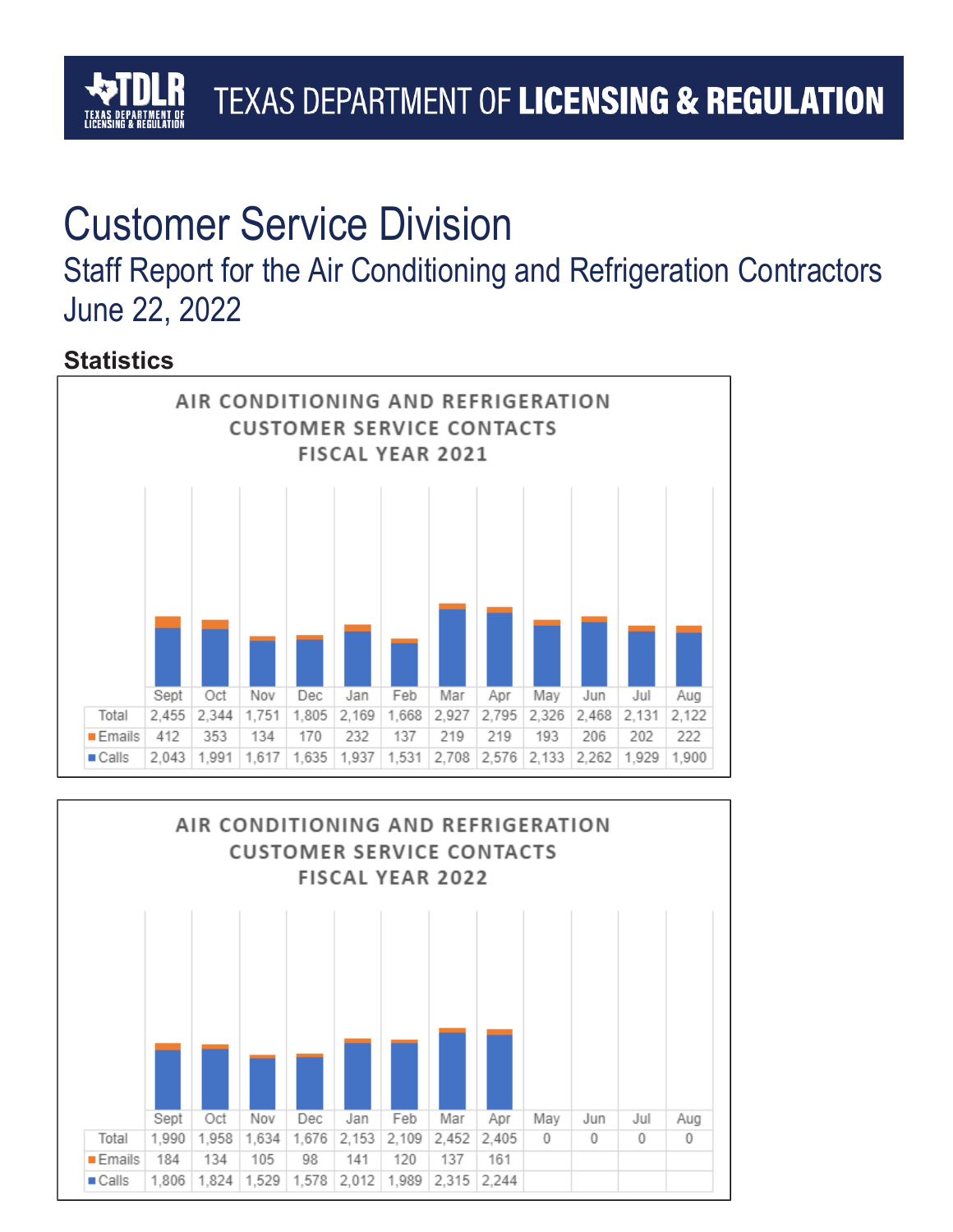# Customer Service Division

## Staff Report for the Air Conditioning and Refrigeration Contractors June 22, 2022

## **Statistics**



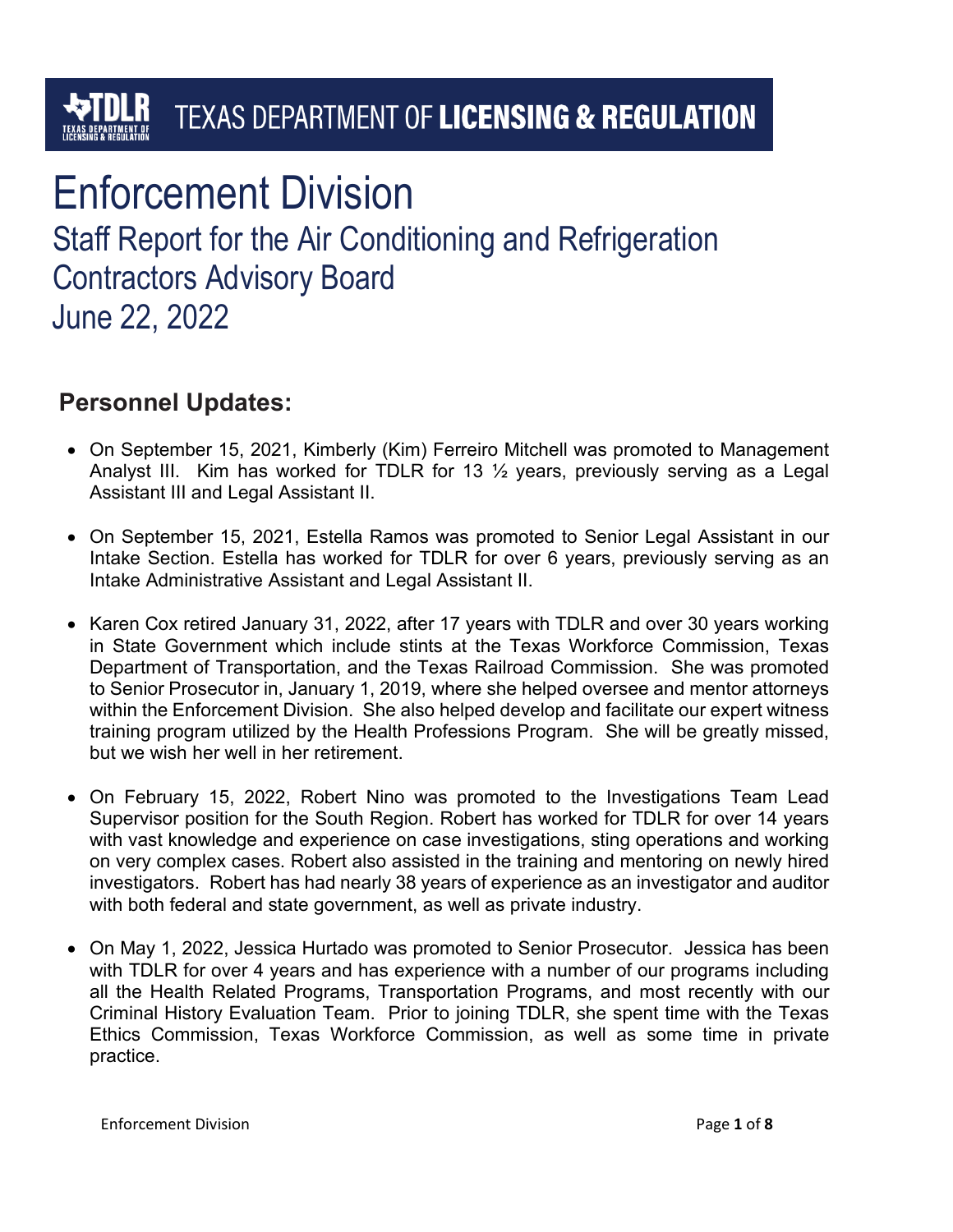# Enforcement Division

Staff Report for the Air Conditioning and Refrigeration Contractors Advisory Board June 22, 2022

## **Personnel Updates:**

- On September 15, 2021, Kimberly (Kim) Ferreiro Mitchell was promoted to Management Analyst III. Kim has worked for TDLR for 13  $\frac{1}{2}$  years, previously serving as a Legal Assistant III and Legal Assistant II.
- On September 15, 2021, Estella Ramos was promoted to Senior Legal Assistant in our Intake Section. Estella has worked for TDLR for over 6 years, previously serving as an Intake Administrative Assistant and Legal Assistant II.
- Karen Cox retired January 31, 2022, after 17 years with TDLR and over 30 years working in State Government which include stints at the Texas Workforce Commission, Texas Department of Transportation, and the Texas Railroad Commission. She was promoted to Senior Prosecutor in, January 1, 2019, where she helped oversee and mentor attorneys within the Enforcement Division. She also helped develop and facilitate our expert witness training program utilized by the Health Professions Program. She will be greatly missed, but we wish her well in her retirement.
- On February 15, 2022, Robert Nino was promoted to the Investigations Team Lead Supervisor position for the South Region. Robert has worked for TDLR for over 14 years with vast knowledge and experience on case investigations, sting operations and working on very complex cases. Robert also assisted in the training and mentoring on newly hired investigators. Robert has had nearly 38 years of experience as an investigator and auditor with both federal and state government, as well as private industry.
- On May 1, 2022, Jessica Hurtado was promoted to Senior Prosecutor. Jessica has been with TDLR for over 4 years and has experience with a number of our programs including all the Health Related Programs, Transportation Programs, and most recently with our Criminal History Evaluation Team. Prior to joining TDLR, she spent time with the Texas Ethics Commission, Texas Workforce Commission, as well as some time in private practice.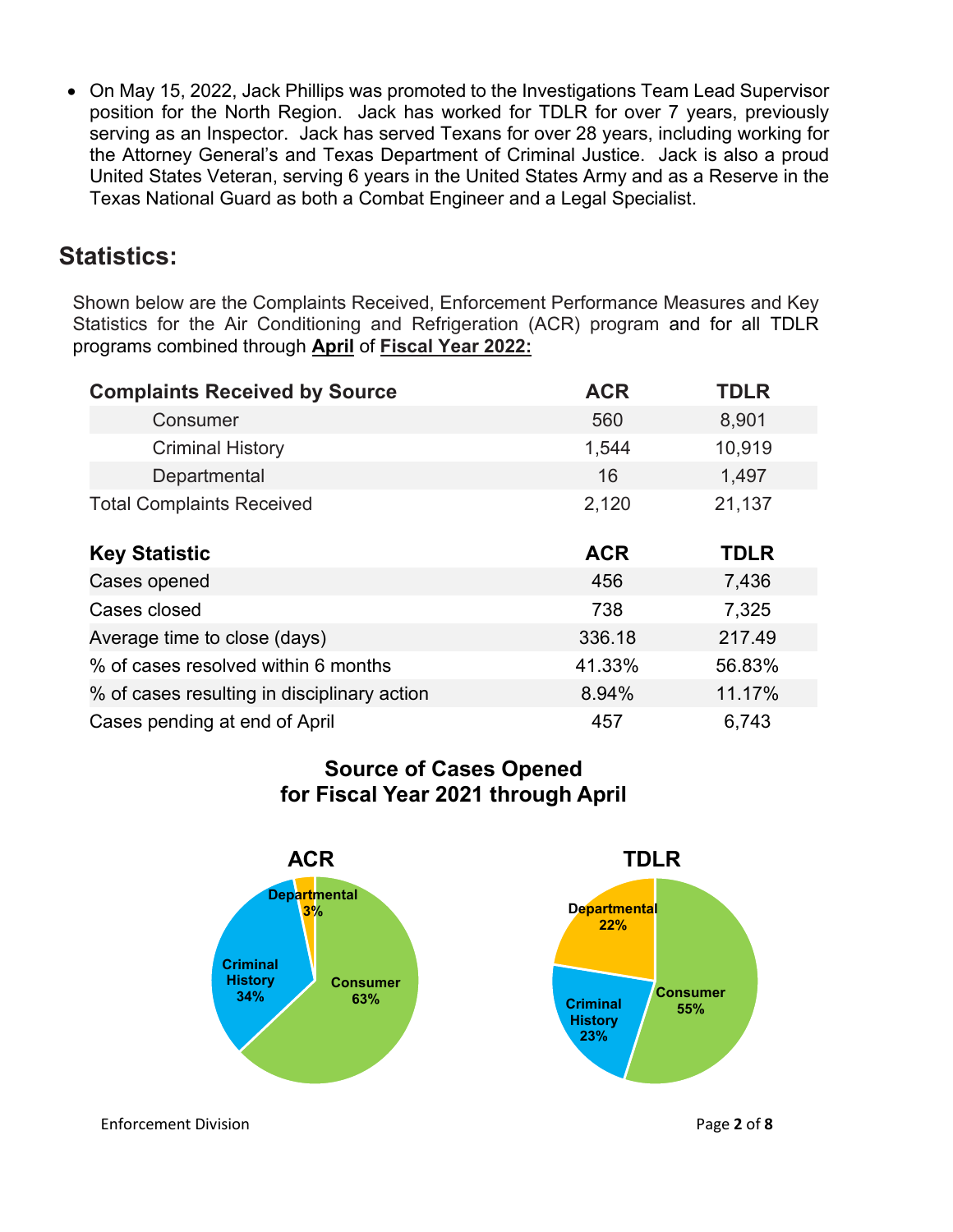• On May 15, 2022, Jack Phillips was promoted to the Investigations Team Lead Supervisor position for the North Region. Jack has worked for TDLR for over 7 years, previously serving as an Inspector. Jack has served Texans for over 28 years, including working for the Attorney General's and Texas Department of Criminal Justice. Jack is also a proud United States Veteran, serving 6 years in the United States Army and as a Reserve in the Texas National Guard as both a Combat Engineer and a Legal Specialist.

## **Statistics:**

Shown below are the Complaints Received, Enforcement Performance Measures and Key Statistics for the Air Conditioning and Refrigeration (ACR) program and for all TDLR programs combined through **April** of **Fiscal Year 2022:**

| <b>Complaints Received by Source</b>        | <b>ACR</b> | <b>TDLR</b> |
|---------------------------------------------|------------|-------------|
| Consumer                                    | 560        | 8,901       |
| <b>Criminal History</b>                     | 1,544      | 10,919      |
| Departmental                                | 16         | 1,497       |
| <b>Total Complaints Received</b>            | 2,120      | 21,137      |
| <b>Key Statistic</b>                        | <b>ACR</b> | <b>TDLR</b> |
| Cases opened                                | 456        | 7,436       |
| Cases closed                                | 738        | 7,325       |
| Average time to close (days)                | 336.18     | 217.49      |
| % of cases resolved within 6 months         | 41.33%     | 56.83%      |
| % of cases resulting in disciplinary action | 8.94%      | 11.17%      |
| Cases pending at end of April               | 457        | 6,743       |

#### **Source of Cases Opened for Fiscal Year 2021 through April**



Enforcement Division Page **2** of **8**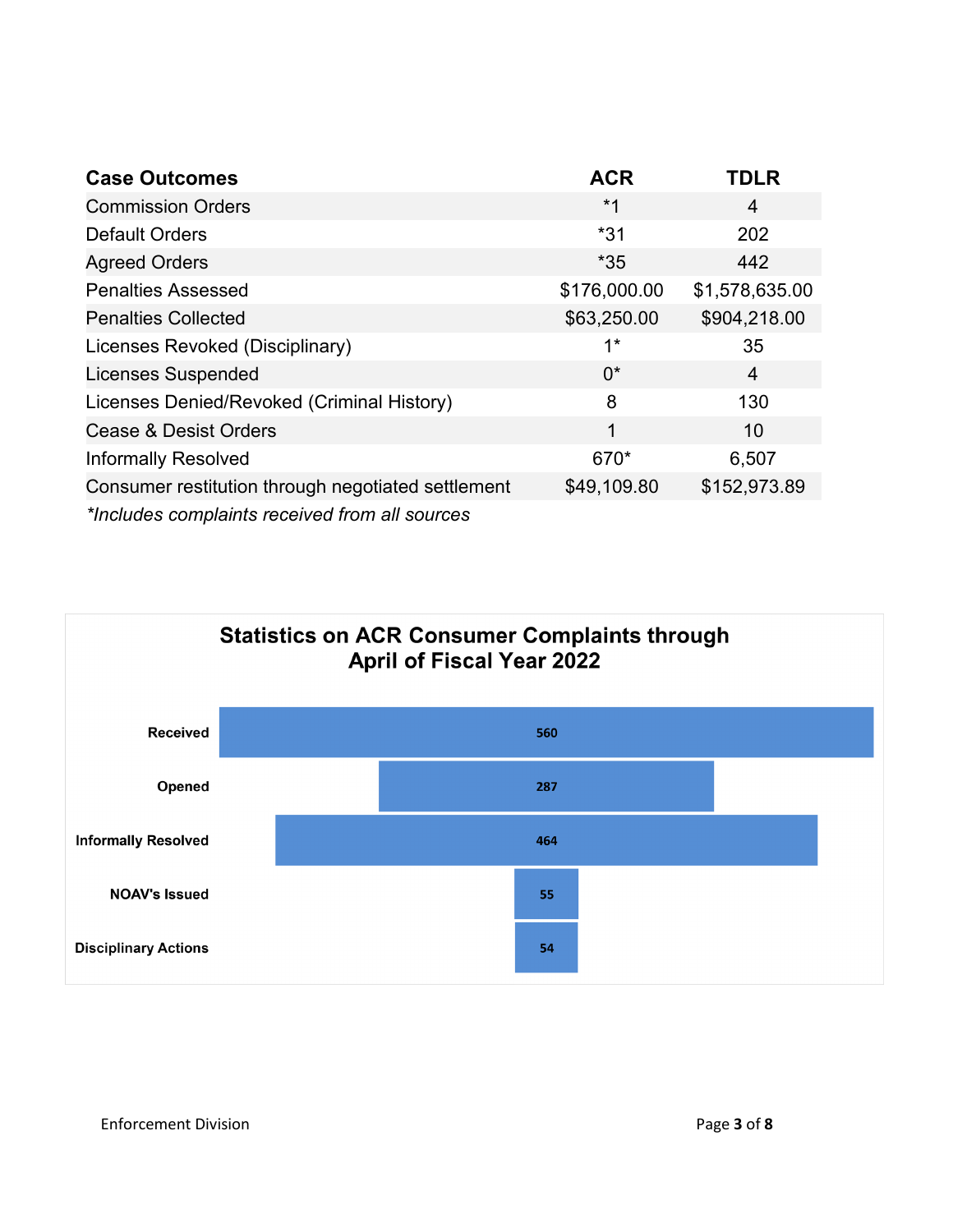| <b>Case Outcomes</b>                               | <b>ACR</b>   | <b>TDLR</b>    |
|----------------------------------------------------|--------------|----------------|
| <b>Commission Orders</b>                           | $*1$         | 4              |
| <b>Default Orders</b>                              | $*31$        | 202            |
| <b>Agreed Orders</b>                               | $*35$        | 442            |
| <b>Penalties Assessed</b>                          | \$176,000.00 | \$1,578,635.00 |
| <b>Penalties Collected</b>                         | \$63,250.00  | \$904,218.00   |
| Licenses Revoked (Disciplinary)                    | $1^*$        | 35             |
| <b>Licenses Suspended</b>                          | $0^*$        | 4              |
| Licenses Denied/Revoked (Criminal History)         | 8            | 130            |
| <b>Cease &amp; Desist Orders</b>                   | 1            | 10             |
| <b>Informally Resolved</b>                         | 670*         | 6,507          |
| Consumer restitution through negotiated settlement | \$49,109.80  | \$152,973.89   |
| *Includes complaints received from all sources     |              |                |



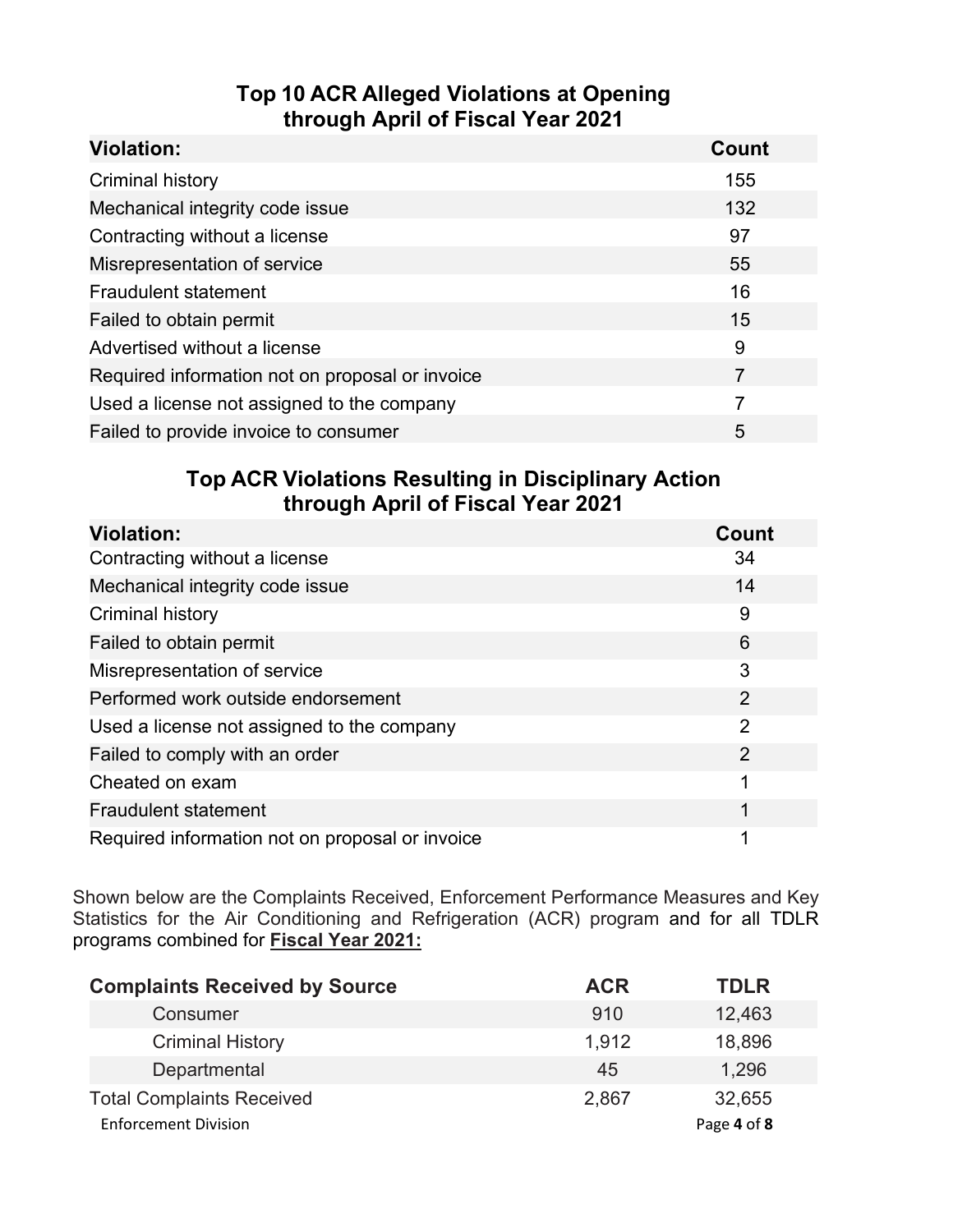### **Top 10 ACR Alleged Violations at Opening through April of Fiscal Year 2021**

| <b>Violation:</b>                               | Count |
|-------------------------------------------------|-------|
| Criminal history                                | 155   |
| Mechanical integrity code issue                 | 132   |
| Contracting without a license                   | 97    |
| Misrepresentation of service                    | 55    |
| <b>Fraudulent statement</b>                     | 16    |
| Failed to obtain permit                         | 15    |
| Advertised without a license                    | 9     |
| Required information not on proposal or invoice | 7     |
| Used a license not assigned to the company      | 7     |
| Failed to provide invoice to consumer           | 5     |

#### **Top ACR Violations Resulting in Disciplinary Action through April of Fiscal Year 2021**

| <b>Violation:</b>                               | Count          |
|-------------------------------------------------|----------------|
| Contracting without a license                   | 34             |
| Mechanical integrity code issue                 | 14             |
| <b>Criminal history</b>                         | 9              |
| Failed to obtain permit                         | 6              |
| Misrepresentation of service                    | 3              |
| Performed work outside endorsement              | $\overline{2}$ |
| Used a license not assigned to the company      | $\overline{2}$ |
| Failed to comply with an order                  | 2              |
| Cheated on exam                                 | 1              |
| <b>Fraudulent statement</b>                     | 1              |
| Required information not on proposal or invoice |                |

Shown below are the Complaints Received, Enforcement Performance Measures and Key Statistics for the Air Conditioning and Refrigeration (ACR) program and for all TDLR programs combined for **Fiscal Year 2021:**

| <b>Complaints Received by Source</b> | <b>ACR</b> | <b>TDLR</b> |
|--------------------------------------|------------|-------------|
| Consumer                             | 910        | 12,463      |
| <b>Criminal History</b>              | 1,912      | 18,896      |
| Departmental                         | 45         | 1,296       |
| <b>Total Complaints Received</b>     | 2,867      | 32,655      |
| <b>Enforcement Division</b>          |            | Page 4 of 8 |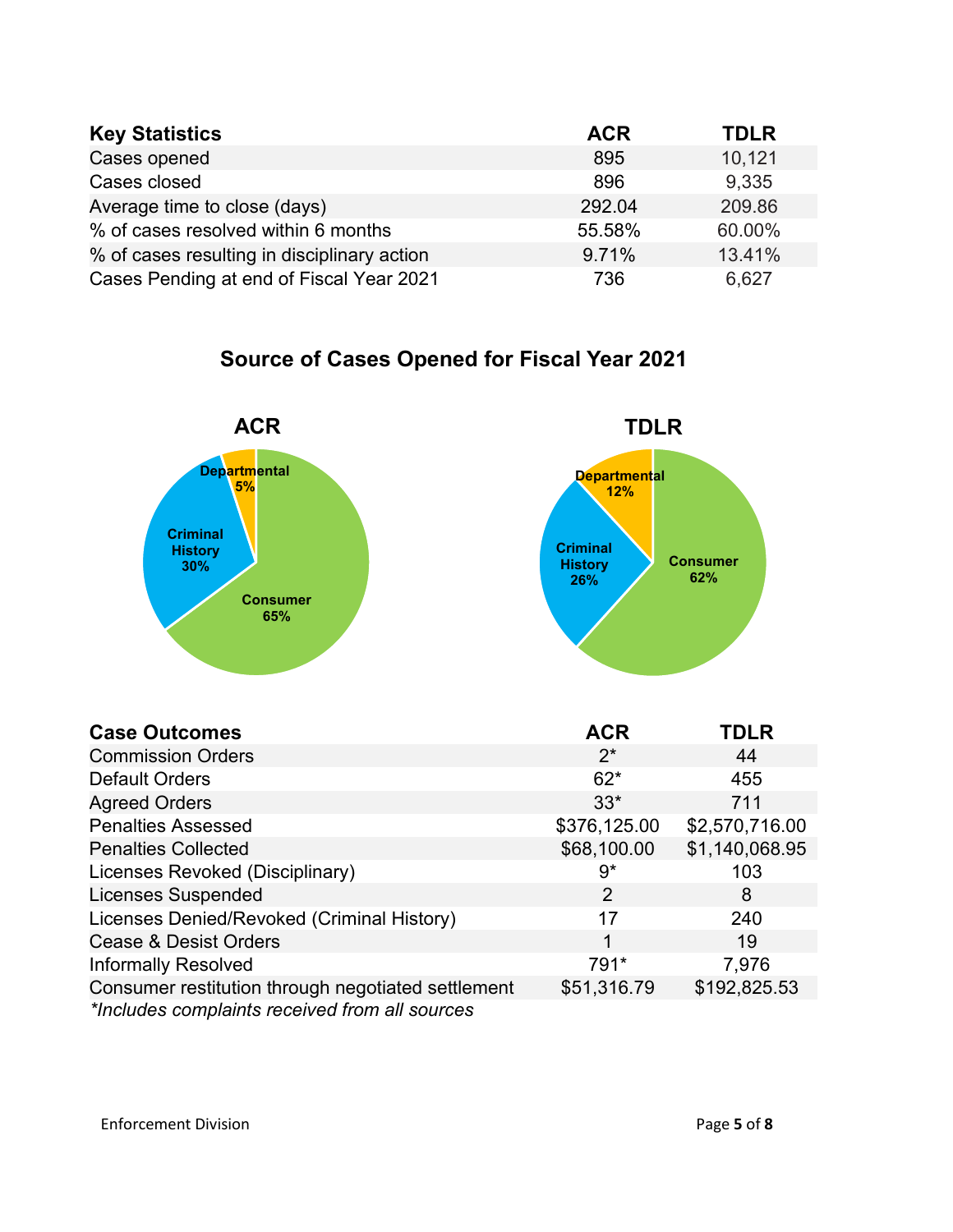| <b>Key Statistics</b>                       | <b>ACR</b> | <b>TDLR</b> |
|---------------------------------------------|------------|-------------|
| Cases opened                                | 895        | 10,121      |
| Cases closed                                | 896        | 9,335       |
| Average time to close (days)                | 292.04     | 209.86      |
| % of cases resolved within 6 months         | 55.58%     | 60.00%      |
| % of cases resulting in disciplinary action | 9.71%      | 13.41%      |
| Cases Pending at end of Fiscal Year 2021    | 736        | 6,627       |

## **Source of Cases Opened for Fiscal Year 2021**



| <b>Case Outcomes</b>                               | <b>ACR</b>   | TDLR           |
|----------------------------------------------------|--------------|----------------|
| <b>Commission Orders</b>                           | $2^*$        | 44             |
| <b>Default Orders</b>                              | $62*$        | 455            |
| <b>Agreed Orders</b>                               | $33*$        | 711            |
| <b>Penalties Assessed</b>                          | \$376,125.00 | \$2,570,716.00 |
| <b>Penalties Collected</b>                         | \$68,100.00  | \$1,140,068.95 |
| Licenses Revoked (Disciplinary)                    | 9*           | 103            |
| <b>Licenses Suspended</b>                          | 2            | 8              |
| Licenses Denied/Revoked (Criminal History)         | 17           | 240            |
| <b>Cease &amp; Desist Orders</b>                   |              | 19             |
| <b>Informally Resolved</b>                         | 791*         | 7,976          |
| Consumer restitution through negotiated settlement | \$51,316.79  | \$192,825.53   |
| *Includes complaints received from all sources     |              |                |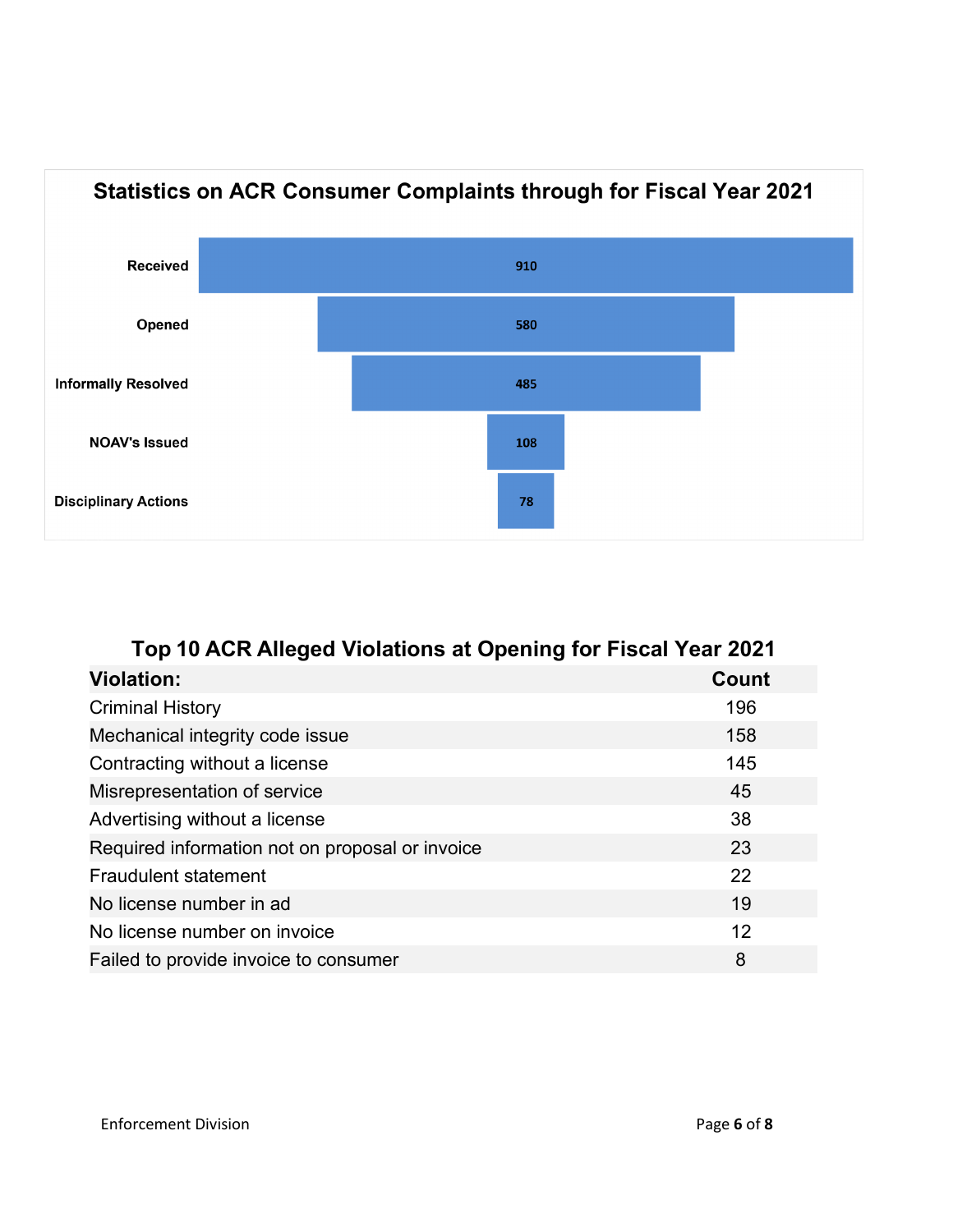

| Top 10 ACR Alleged Violations at Opening for Fiscal Year 2021 |              |  |
|---------------------------------------------------------------|--------------|--|
| <b>Violation:</b>                                             | <b>Count</b> |  |
| <b>Criminal History</b>                                       | 196          |  |
| Mechanical integrity code issue                               | 158          |  |
| Contracting without a license                                 | 145          |  |
| Misrepresentation of service                                  | 45           |  |
| Advertising without a license                                 | 38           |  |
| Required information not on proposal or invoice               | 23           |  |
| Fraudulent statement                                          | 22           |  |
| No license number in ad                                       | 19           |  |
| No license number on invoice                                  | 12           |  |
| Failed to provide invoice to consumer                         | 8            |  |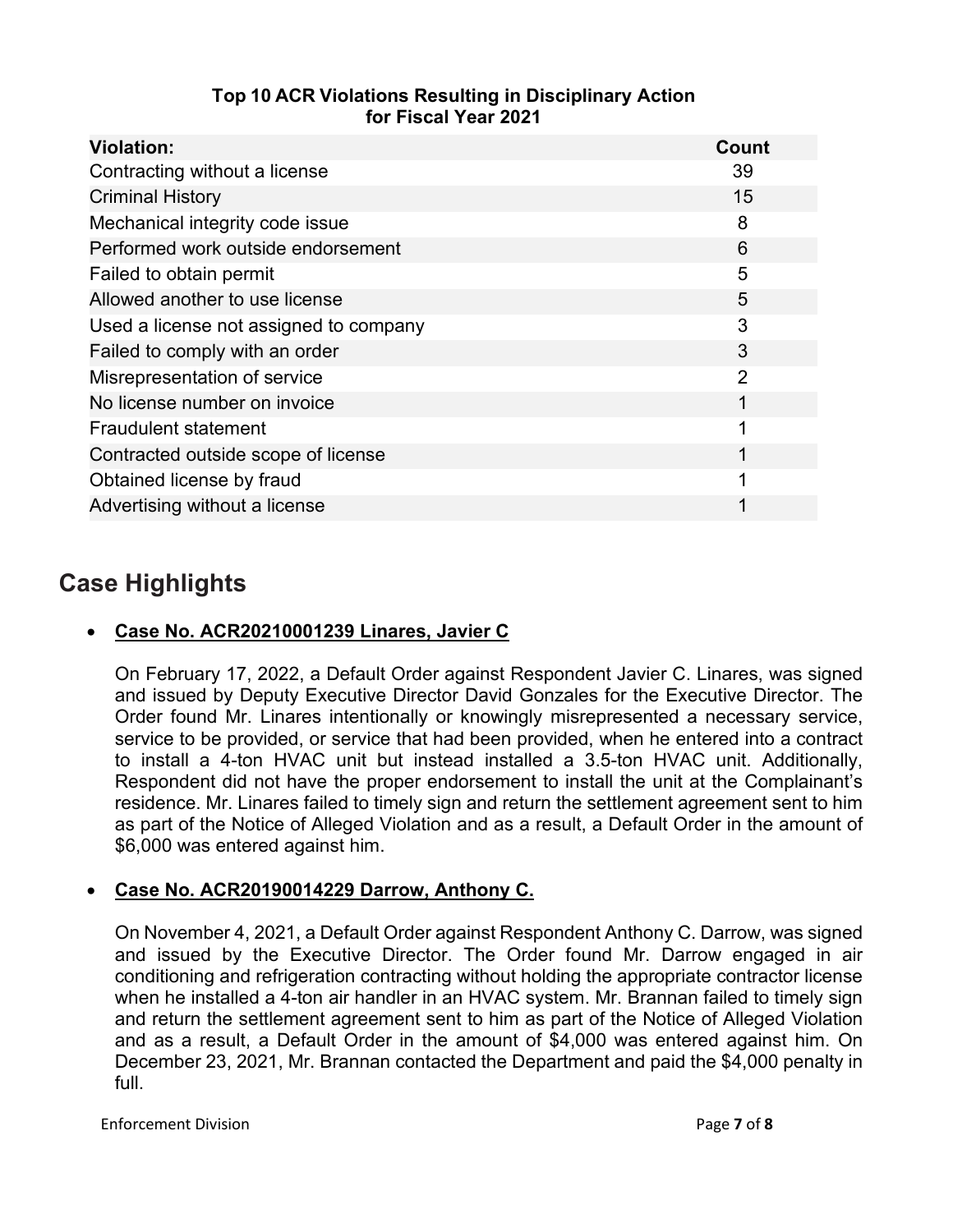| Top 10 ACR Violations Resulting in Disciplinary Action |
|--------------------------------------------------------|
| for Fiscal Year 2021                                   |

| <b>Violation:</b>                      | <b>Count</b>   |
|----------------------------------------|----------------|
| Contracting without a license          | 39             |
| <b>Criminal History</b>                | 15             |
| Mechanical integrity code issue        | 8              |
| Performed work outside endorsement     | 6              |
| Failed to obtain permit                | 5              |
| Allowed another to use license         | 5              |
| Used a license not assigned to company | 3              |
| Failed to comply with an order         | 3              |
| Misrepresentation of service           | $\overline{2}$ |
| No license number on invoice           | 1              |
| <b>Fraudulent statement</b>            | 1              |
| Contracted outside scope of license    | 1              |
| Obtained license by fraud              | 1              |
| Advertising without a license          |                |

### **Case Highlights**

#### • **Case No. ACR20210001239 Linares, Javier C**

On February 17, 2022, a Default Order against Respondent Javier C. Linares, was signed and issued by Deputy Executive Director David Gonzales for the Executive Director. The Order found Mr. Linares intentionally or knowingly misrepresented a necessary service, service to be provided, or service that had been provided, when he entered into a contract to install a 4-ton HVAC unit but instead installed a 3.5-ton HVAC unit. Additionally, Respondent did not have the proper endorsement to install the unit at the Complainant's residence. Mr. Linares failed to timely sign and return the settlement agreement sent to him as part of the Notice of Alleged Violation and as a result, a Default Order in the amount of \$6,000 was entered against him.

#### • **Case No. ACR20190014229 Darrow, Anthony C.**

On November 4, 2021, a Default Order against Respondent Anthony C. Darrow, was signed and issued by the Executive Director. The Order found Mr. Darrow engaged in air conditioning and refrigeration contracting without holding the appropriate contractor license when he installed a 4-ton air handler in an HVAC system. Mr. Brannan failed to timely sign and return the settlement agreement sent to him as part of the Notice of Alleged Violation and as a result, a Default Order in the amount of \$4,000 was entered against him. On December 23, 2021, Mr. Brannan contacted the Department and paid the \$4,000 penalty in full.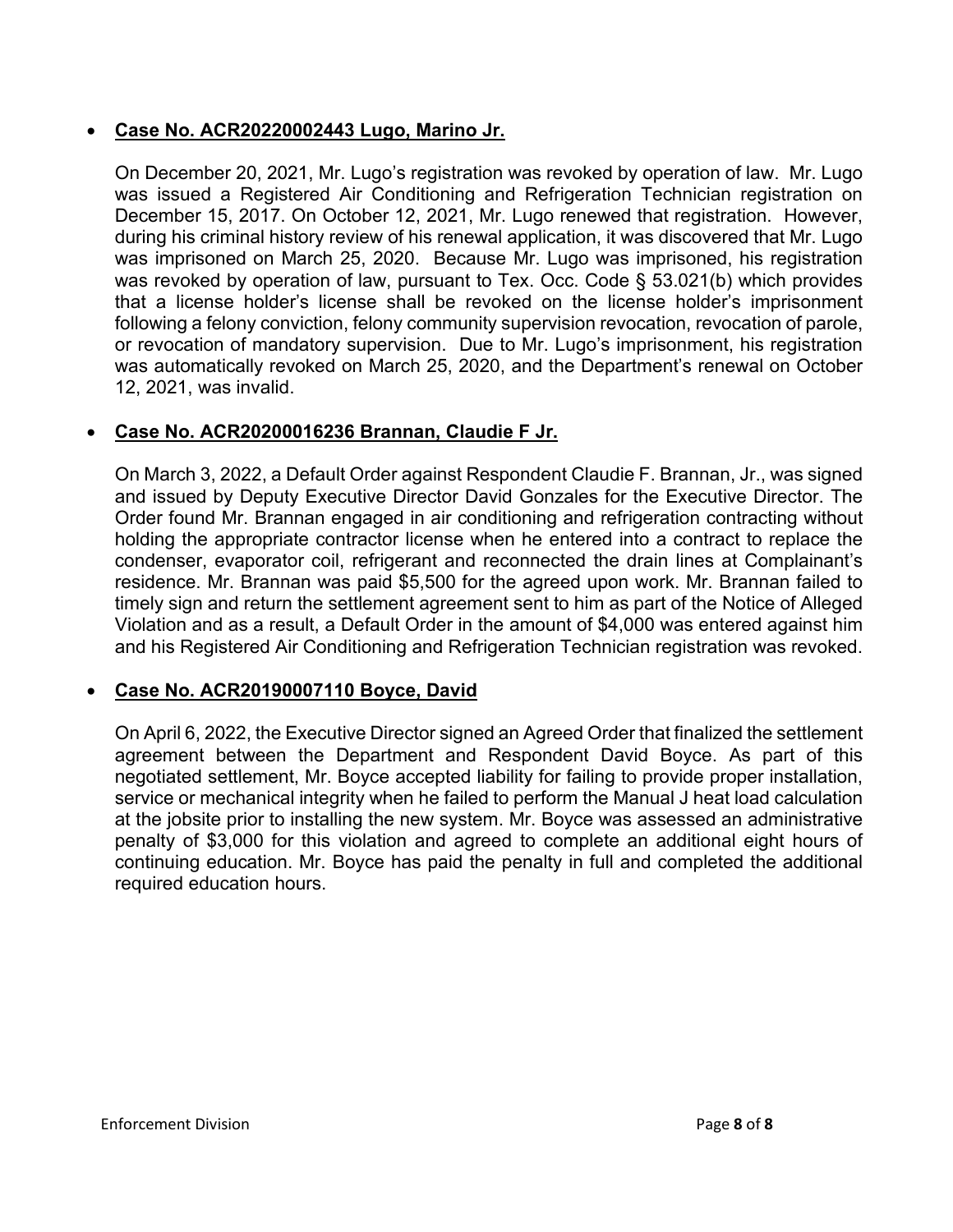#### • **Case No. ACR20220002443 Lugo, Marino Jr.**

On December 20, 2021, Mr. Lugo's registration was revoked by operation of law. Mr. Lugo was issued a Registered Air Conditioning and Refrigeration Technician registration on December 15, 2017. On October 12, 2021, Mr. Lugo renewed that registration. However, during his criminal history review of his renewal application, it was discovered that Mr. Lugo was imprisoned on March 25, 2020. Because Mr. Lugo was imprisoned, his registration was revoked by operation of law, pursuant to Tex. Occ. Code § 53.021(b) which provides that a license holder's license shall be revoked on the license holder's imprisonment following a felony conviction, felony community supervision revocation, revocation of parole, or revocation of mandatory supervision. Due to Mr. Lugo's imprisonment, his registration was automatically revoked on March 25, 2020, and the Department's renewal on October 12, 2021, was invalid.

#### • **Case No. ACR20200016236 Brannan, Claudie F Jr.**

On March 3, 2022, a Default Order against Respondent Claudie F. Brannan, Jr., was signed and issued by Deputy Executive Director David Gonzales for the Executive Director. The Order found Mr. Brannan engaged in air conditioning and refrigeration contracting without holding the appropriate contractor license when he entered into a contract to replace the condenser, evaporator coil, refrigerant and reconnected the drain lines at Complainant's residence. Mr. Brannan was paid \$5,500 for the agreed upon work. Mr. Brannan failed to timely sign and return the settlement agreement sent to him as part of the Notice of Alleged Violation and as a result, a Default Order in the amount of \$4,000 was entered against him and his Registered Air Conditioning and Refrigeration Technician registration was revoked.

#### • **Case No. ACR20190007110 Boyce, David**

On April 6, 2022, the Executive Director signed an Agreed Order that finalized the settlement agreement between the Department and Respondent David Boyce. As part of this negotiated settlement, Mr. Boyce accepted liability for failing to provide proper installation, service or mechanical integrity when he failed to perform the Manual J heat load calculation at the jobsite prior to installing the new system. Mr. Boyce was assessed an administrative penalty of \$3,000 for this violation and agreed to complete an additional eight hours of continuing education. Mr. Boyce has paid the penalty in full and completed the additional required education hours.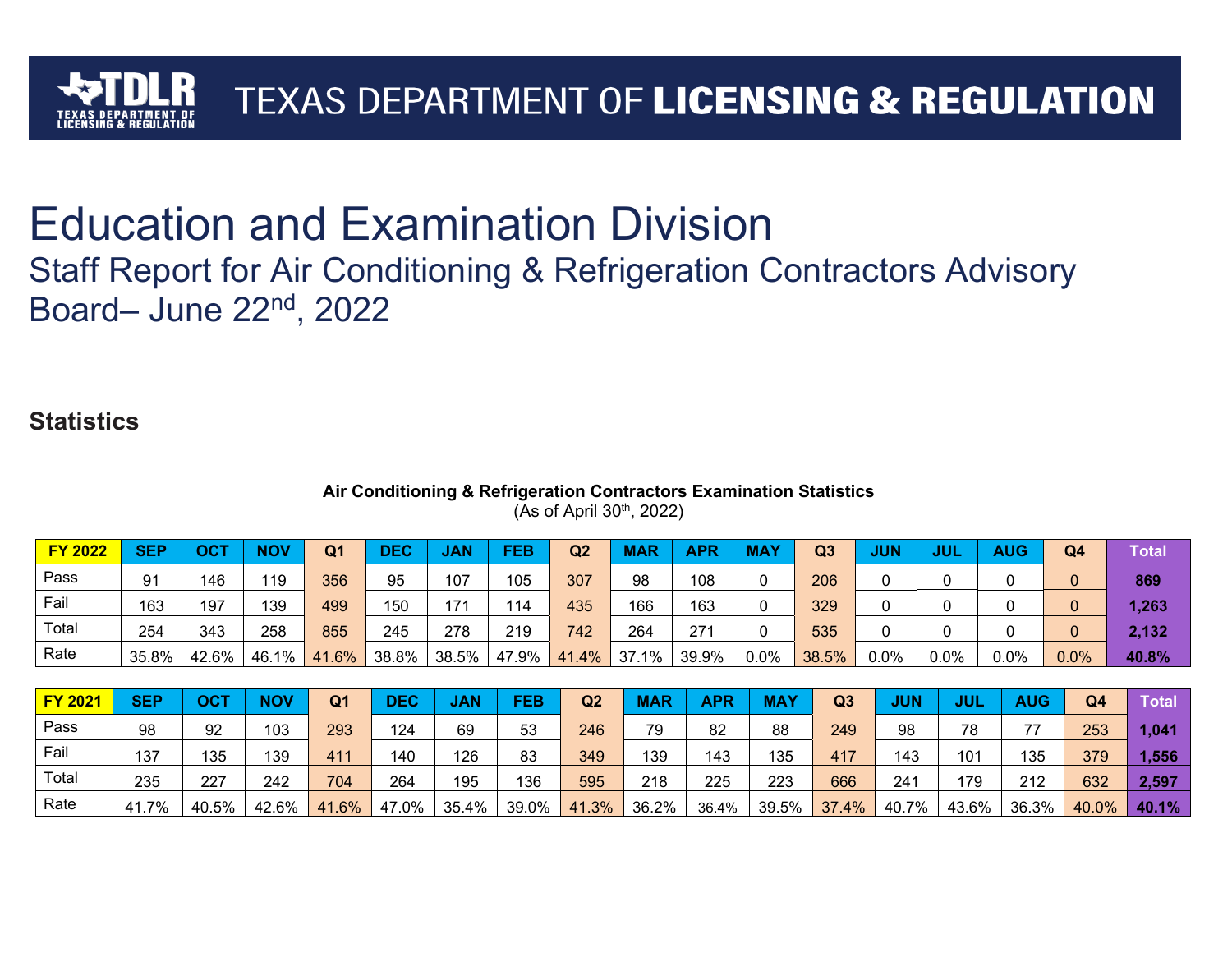

# Education and Examination Division

## Staff Report for Air Conditioning & Refrigeration Contractors Advisory Board– June 22nd, 2022

## **Statistics**

#### **Air Conditioning & Refrigeration Contractors Examination Statistics** (As of April  $30<sup>th</sup>$ , 2022)

| <b>FY 2022</b> | <b>SEP</b> | ост   | <b>NOV</b> | Q <sub>1</sub> | <b>DEC</b> | <b>JAN</b> | FEB   | Q <sub>2</sub> | <b>MAR</b> | <b>APR</b> | <b>MAY</b> | Q <sub>3</sub> | <b>JUN</b> | JUL     | <b>AUG</b> | Q4   | Total |
|----------------|------------|-------|------------|----------------|------------|------------|-------|----------------|------------|------------|------------|----------------|------------|---------|------------|------|-------|
| Pass           | 91         | 146   | 119        | 356            | 95         | 107        | 105   | 307            | 98         | 108        |            | 206            |            |         |            |      | 869   |
| Fail           | 163        | 197   | 139        | 499            | 150        | 171        | 114   | 435            | 166        | 163        |            | 329            |            |         |            |      | 1,263 |
| Total          | 254        | 343   | 258        | 855            | 245        | 278        | 219   | 742            | 264        | 271        |            | 535            |            |         |            |      | 2,132 |
| Rate           | 35.8%      | 42.6% | 46.1%      | 41.6%          | 38.8%      | 38.5%      | 47.9% | 41.4%          | 37.1%      | 39.9%      | $0.0\%$    | 38.5%          | $0.0\%$    | $0.0\%$ | $0.0\%$    | 0.0% | 40.8% |

| <b>FY 2021</b> | <b>SEP</b> | OCT   | <b>NOV</b> | Q1    | <b>DEC</b> | <b>JAN</b> | FEB   | Q <sub>2</sub> | <b>MAR</b> | APR   | <b>MAY</b> | Q <sub>3</sub> | <b>JUN</b> | JUL   | <b>AUG</b> | Q <sub>4</sub> | <b>Total</b> |
|----------------|------------|-------|------------|-------|------------|------------|-------|----------------|------------|-------|------------|----------------|------------|-------|------------|----------------|--------------|
| Pass           | 98         | 92    | 103        | 293   | 124        | 69         | 53    | 246            | 79         | 82    | 88         | 249            | 98         | 78    | 77         | 253            | 1,041        |
| Fail           | 137        | 135   | 139        | 411   | 140        | 126        | 83    | 349            | 139        | 143   | 135        | 417            | 143        | 101   | 135        | 379            | 1,556        |
| Total          | 235        | 227   | 242        | 704   | 264        | 195        | 136   | 595            | 218        | 225   | 223        | 666            | 241        | 179   | 212        | 632            | 2,597        |
| Rate           | 41.7%      | 40.5% | 42.6%      | 41.6% | 47.0%      | 35.4%      | 39.0% | 41.3%          | 36.2%      | 36.4% | 39.5%      | 37.4%          | 40.7%      | 43.6% | 36.3%      | 40.0%          | 40.1%        |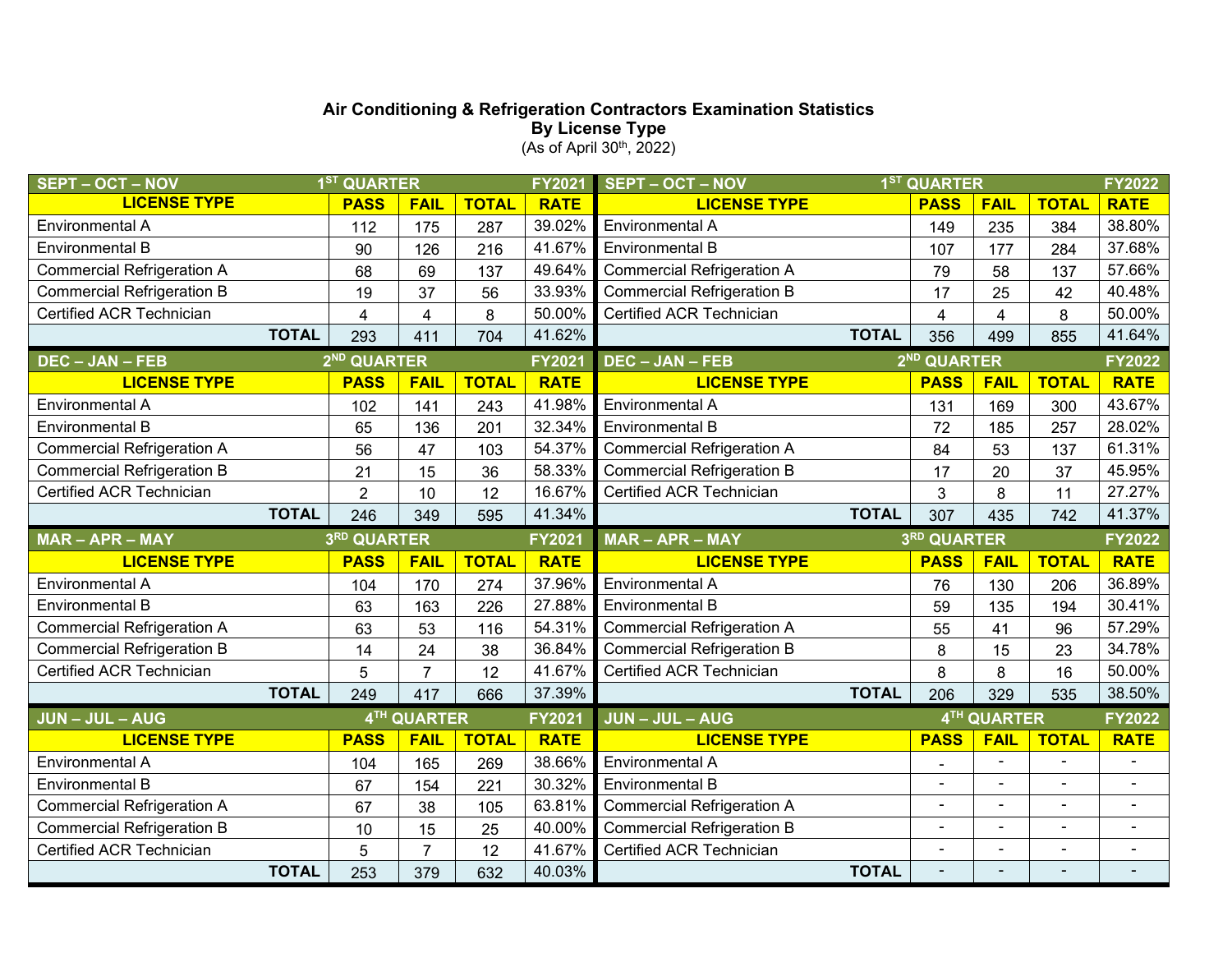#### **Air Conditioning & Refrigeration Contractors Examination Statistics By License Type**  $(As of April 30<sup>th</sup>, 2022)$

| <b>SEPT - OCT - NOV</b>           | 1 <sup>ST</sup> QUARTER |                         | <b>FY2021</b> | <b>SEPT - OCT - NOV</b> | 1 <sup>ST</sup> QUARTER           |                          |                |                |                |
|-----------------------------------|-------------------------|-------------------------|---------------|-------------------------|-----------------------------------|--------------------------|----------------|----------------|----------------|
| <b>LICENSE TYPE</b>               | <b>PASS</b>             | <b>FAIL</b>             | <b>TOTAL</b>  | <b>RATE</b>             | <b>LICENSE TYPE</b>               | <b>PASS</b>              | <b>FAIL</b>    | <b>TOTAL</b>   | <b>RATE</b>    |
| Environmental A                   | 112                     | 175                     | 287           | 39.02%                  | Environmental A                   | 149                      | 235            | 384            | 38.80%         |
| <b>Environmental B</b>            | 90                      | 126                     | 216           | 41.67%                  | <b>Environmental B</b>            | 107                      | 177            | 284            | 37.68%         |
| <b>Commercial Refrigeration A</b> | 68                      | 69                      | 137           | 49.64%                  | <b>Commercial Refrigeration A</b> | 79                       | 58             | 137            | 57.66%         |
| <b>Commercial Refrigeration B</b> | 19                      | 37                      | 56            | 33.93%                  | <b>Commercial Refrigeration B</b> | 17                       | 25             | 42             | 40.48%         |
| Certified ACR Technician          | $\overline{\mathbf{4}}$ | $\overline{\mathbf{4}}$ | 8             | 50.00%                  | Certified ACR Technician          | $\overline{4}$           | 4              | 8              | 50.00%         |
| <b>TOTAL</b>                      | 293                     | 411                     | 704           | 41.62%                  | <b>TOTAL</b>                      | 356                      | 499            | 855            | 41.64%         |
| <b>DEC - JAN - FEB</b>            | 2 <sup>ND</sup> QUARTER |                         |               | FY2021                  | <b>DEC - JAN - FEB</b>            | 2 <sup>ND</sup> QUARTER  |                |                | FY2022         |
| <b>LICENSE TYPE</b>               | <b>PASS</b>             | <b>FAIL</b>             | <b>TOTAL</b>  | <b>RATE</b>             | <b>LICENSE TYPE</b>               | <b>PASS</b>              | <b>FAIL</b>    | <b>TOTAL</b>   | <b>RATE</b>    |
| <b>Environmental A</b>            | 102                     | 141                     | 243           | 41.98%                  | Environmental A                   | 131                      | 169            | 300            | 43.67%         |
| <b>Environmental B</b>            | 65                      | 136                     | 201           | 32.34%                  | <b>Environmental B</b>            | 72                       | 185            | 257            | 28.02%         |
| <b>Commercial Refrigeration A</b> | 56                      | 47                      | 103           | 54.37%                  | <b>Commercial Refrigeration A</b> | 84                       | 53             | 137            | 61.31%         |
| <b>Commercial Refrigeration B</b> | 21                      | 15                      | 36            | 58.33%                  | <b>Commercial Refrigeration B</b> | 17                       | 20             | 37             | 45.95%         |
| Certified ACR Technician          | $\overline{2}$          | 10                      | 12            | 16.67%                  | Certified ACR Technician          | 3                        | 8              | 11             | 27.27%         |
| <b>TOTAL</b>                      | 246                     | 349                     | 595           | 41.34%                  | <b>TOTAL</b>                      |                          | 435            | 742            | 41.37%         |
|                                   |                         | 3RD QUARTER             |               |                         |                                   |                          |                |                |                |
| <b>MAR-APR-MAY</b>                |                         |                         |               | <b>FY2021</b>           | MAR - APR - MAY                   | 3RD QUARTER              |                |                | FY2022         |
| <b>LICENSE TYPE</b>               | <b>PASS</b>             | <b>FAIL</b>             | <b>TOTAL</b>  | <b>RATE</b>             | <b>LICENSE TYPE</b>               | <b>PASS</b>              | <b>FAIL</b>    | <b>TOTAL</b>   | <b>RATE</b>    |
| Environmental A                   | 104                     | 170                     | 274           | 37.96%                  | Environmental A                   | 76                       | 130            | 206            | 36.89%         |
| <b>Environmental B</b>            | 63                      | 163                     | 226           | 27.88%                  | <b>Environmental B</b>            | 59                       | 135            | 194            | 30.41%         |
| <b>Commercial Refrigeration A</b> | 63                      | 53                      | 116           | 54.31%                  | <b>Commercial Refrigeration A</b> | 55                       | 41             | 96             | 57.29%         |
| <b>Commercial Refrigeration B</b> | 14                      | 24                      | 38            | 36.84%                  | <b>Commercial Refrigeration B</b> | 8                        | 15             | 23             | 34.78%         |
| Certified ACR Technician          | 5                       | $\overline{7}$          | 12            | 41.67%                  | Certified ACR Technician          | 8                        | 8              | 16             | 50.00%         |
| <b>TOTAL</b>                      | 249                     | 417                     | 666           | 37.39%                  | <b>TOTAL</b>                      | 206                      | 329            | 535            | 38.50%         |
| <b>JUN-JUL-AUG</b>                |                         | 4TH QUARTER             |               | FY2021                  | <b>JUN-JUL-AUG</b>                |                          | 4TH QUARTER    |                | FY2022         |
| <b>LICENSE TYPE</b>               | <b>PASS</b>             | <b>FAIL</b>             | <b>TOTAL</b>  | <b>RATE</b>             | <b>LICENSE TYPE</b>               | <b>PASS</b>              | <b>FAIL</b>    | <b>TOTAL</b>   | <b>RATE</b>    |
| <b>Environmental A</b>            | 104                     | 165                     | 269           | 38.66%                  | Environmental A                   | $\overline{\phantom{a}}$ | $\sim$         | $\blacksquare$ | $\blacksquare$ |
| <b>Environmental B</b>            | 67                      | 154                     | 221           | 30.32%                  | <b>Environmental B</b>            |                          | $\sim$         | $\blacksquare$ |                |
| <b>Commercial Refrigeration A</b> | 67                      | 38                      | 105           | 63.81%                  | <b>Commercial Refrigeration A</b> | $\blacksquare$           |                | ۰              |                |
| <b>Commercial Refrigeration B</b> | 10                      | 15                      | 25            | 40.00%                  | <b>Commercial Refrigeration B</b> | ÷                        |                | $\blacksquare$ | $\sim$         |
| Certified ACR Technician          | 5                       | $\overline{7}$          | 12            | 41.67%                  | Certified ACR Technician          | $\blacksquare$           | $\blacksquare$ | ÷              | $\blacksquare$ |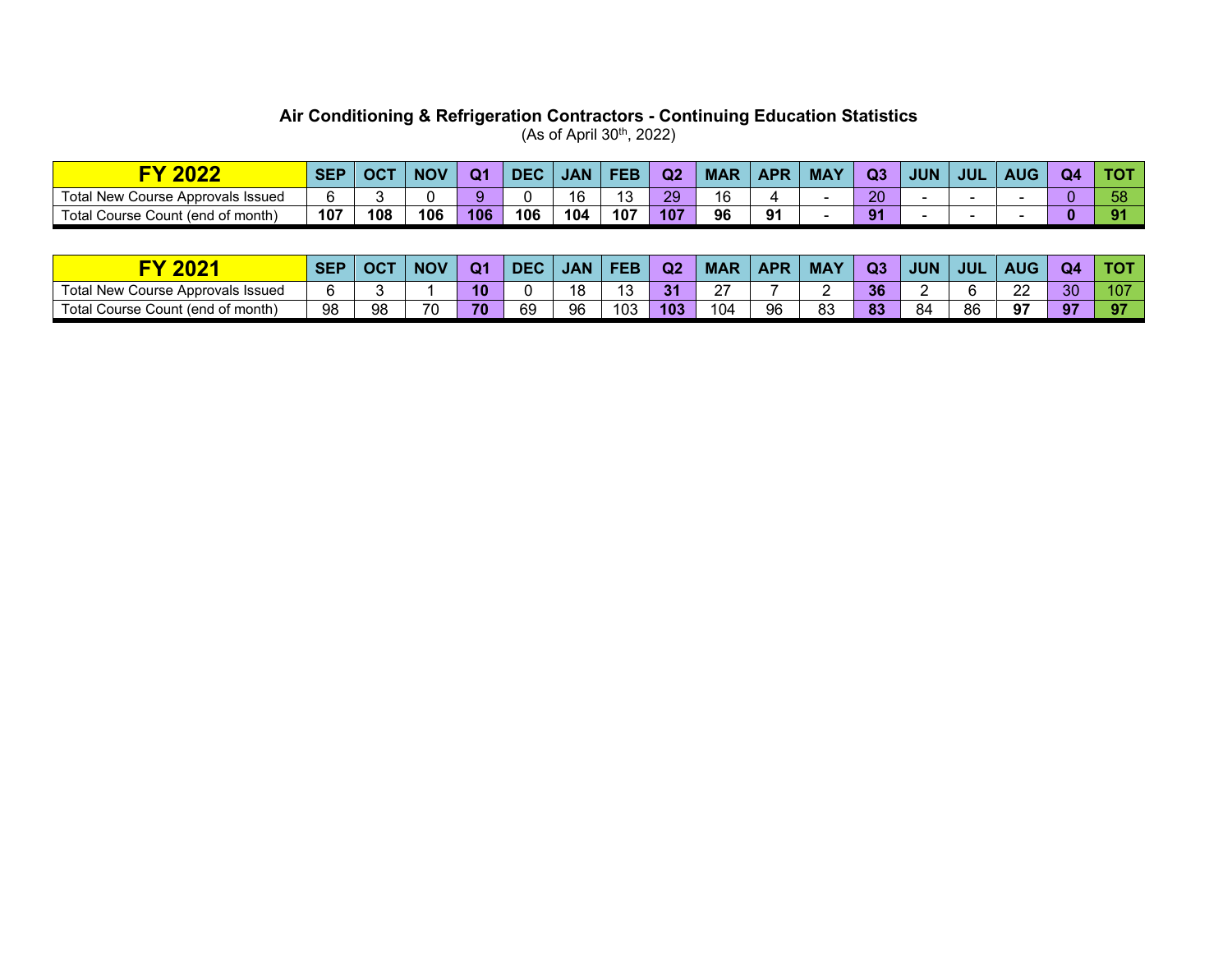#### **Air Conditioning & Refrigeration Contractors - Continuing Education Statistics**  $(As of April 30<sup>th</sup>, 2022)$

| <b>BABB</b><br>JZZ                         | <b>SEP</b> | OC <sub>z</sub> | <b>NOV</b> | $\Omega$ | DE  | <b>JAN</b> | FEE | Q <sub>2</sub> | <b>MAF</b>                     | <b>APR</b> | <b>MAY</b> | Q <sub>3</sub> | <b>JUN</b> | <b>JUL</b> | <b>AUC</b> | O4 |    |
|--------------------------------------------|------------|-----------------|------------|----------|-----|------------|-----|----------------|--------------------------------|------------|------------|----------------|------------|------------|------------|----|----|
| ⊤ota⊧<br>New .<br>Course Approvals Issued  |            |                 |            |          |     | 16         | ີ   | 29             | $\overline{\phantom{a}}$<br>١ó |            |            | ാറ<br>Zu       |            |            |            |    | JU |
| $\tau$ otal<br>Course Count (end of month) | 107        | 108             | 106        | 106      | 106 | 104        | 107 | 107            | 96                             | 91         |            | $\Omega$       |            |            |            |    |    |

| nnn<br><u>VZ.</u>                                                            | <b>SEP</b> | $\sim$ OC $\sim$ | <b>NOV</b> | Ω1 | <b>DEC</b> | <b>JAN</b> | EEL | Q2  | <b>MAR</b> | <b>APR</b> | <b>MA</b> | Q3 | <b>JUN</b> | <b>JUL</b> | <b>AUG</b>      | Q4 |     |
|------------------------------------------------------------------------------|------------|------------------|------------|----|------------|------------|-----|-----|------------|------------|-----------|----|------------|------------|-----------------|----|-----|
| Total New C<br>' Course Approvals Issued                                     |            |                  |            | 10 |            | 18         | ◡   | 31  | $\sim$     |            |           | 36 |            |            | nn<br><u>__</u> | 30 | 107 |
| $\overline{\phantom{0}}$<br>Гotal<br>J of month<br>end)<br>Course<br>Count : | 98         | 98               | 70<br>л.   | 70 | 69         | 96         | 103 | 103 | 104        | 96         | ററ<br>ია  | 83 | -84        | 86         | 97              | െ  | 07  |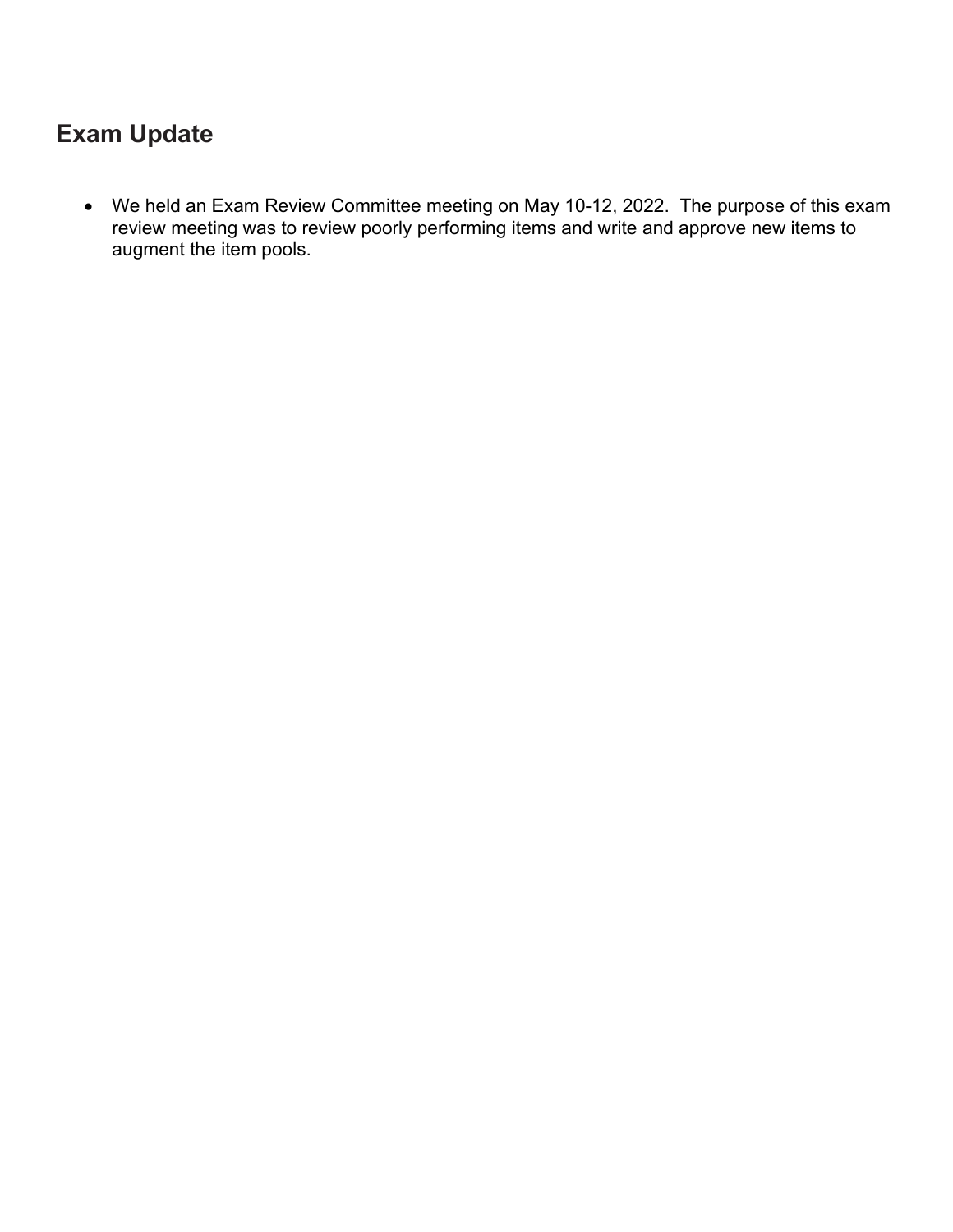## **Exam Update**

• We held an Exam Review Committee meeting on May 10-12, 2022. The purpose of this exam review meeting was to review poorly performing items and write and approve new items to augment the item pools.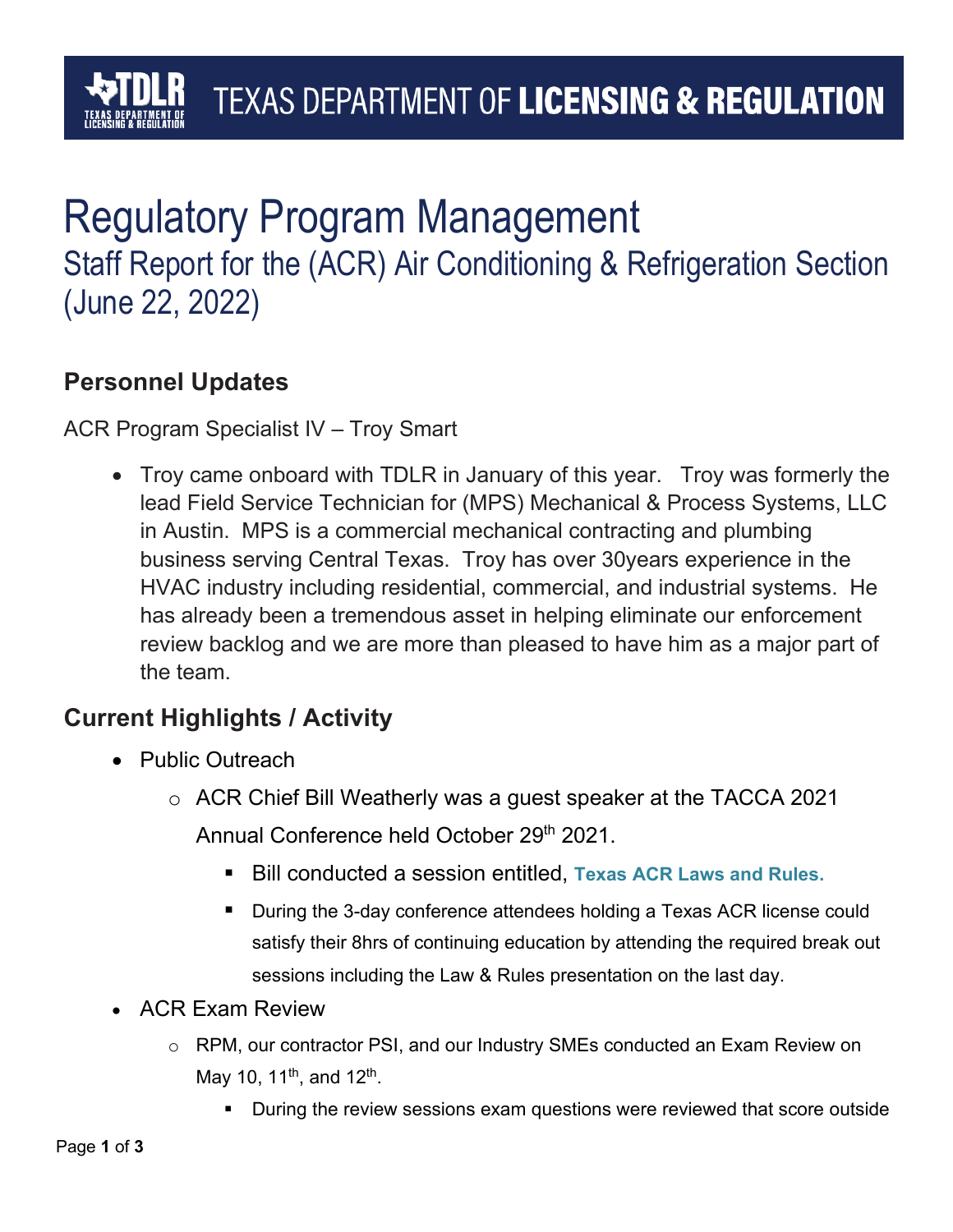## Regulatory Program Management Staff Report for the (ACR) Air Conditioning & Refrigeration Section (June 22, 2022)

### **Personnel Updates**

ACR Program Specialist IV – Troy Smart

• Troy came onboard with TDLR in January of this year. Troy was formerly the lead Field Service Technician for (MPS) Mechanical & Process Systems, LLC in Austin. MPS is a commercial mechanical contracting and plumbing business serving Central Texas. Troy has over 30years experience in the HVAC industry including residential, commercial, and industrial systems. He has already been a tremendous asset in helping eliminate our enforcement review backlog and we are more than pleased to have him as a major part of the team.

### **Current Highlights / Activity**

- Public Outreach
	- o ACR Chief Bill Weatherly was a guest speaker at the TACCA 2021 Annual Conference held October 29<sup>th</sup> 2021.
		- Bill conducted a session entitled, Texas ACR Laws and Rules.
		- During the 3-day conference attendees holding a Texas ACR license could satisfy their 8hrs of continuing education by attending the required break out sessions including the Law & Rules presentation on the last day.
- ACR Exam Review
	- o RPM, our contractor PSI, and our Industry SMEs conducted an Exam Review on May 10, 11<sup>th</sup>, and 12<sup>th</sup>.
		- During the review sessions exam questions were reviewed that score outside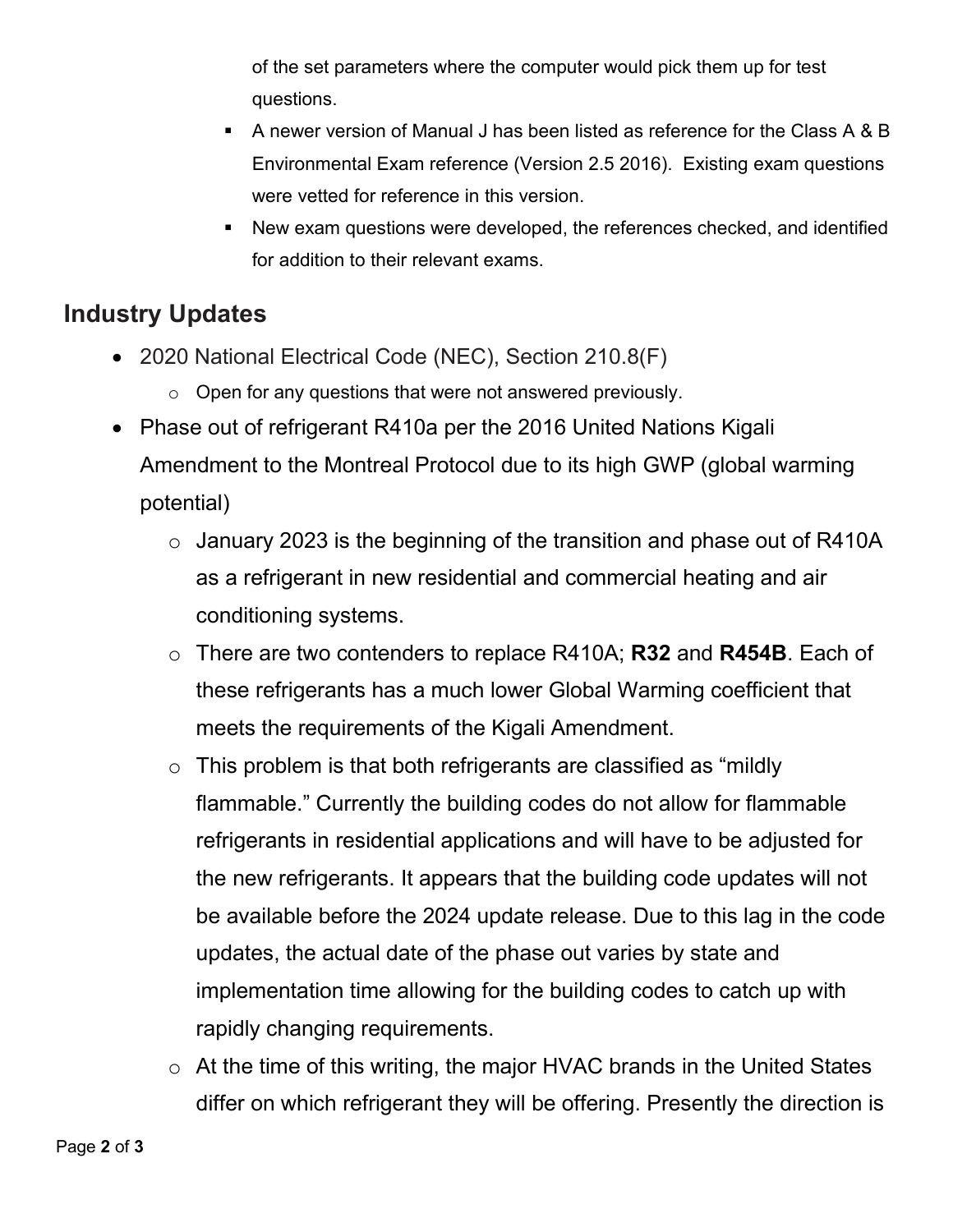of the set parameters where the computer would pick them up for test questions.

- A newer version of Manual J has been listed as reference for the Class A & B Environmental Exam reference (Version 2.5 2016). Existing exam questions were vetted for reference in this version.
- New exam questions were developed, the references checked, and identified for addition to their relevant exams.

## **Industry Updates**

- 2020 National Electrical Code (NEC), Section 210.8(F)
	- $\circ$  Open for any questions that were not answered previously.
- Phase out of refrigerant R410a per the 2016 United Nations Kigali Amendment to the Montreal Protocol due to its high GWP (global warming potential)
	- $\circ$  January 2023 is the beginning of the transition and phase out of R410A as a refrigerant in new residential and commercial heating and air conditioning systems.
	- o There are two contenders to replace R410A; **R32** and **R454B**. Each of these refrigerants has a much lower Global Warming coefficient that meets the requirements of the Kigali Amendment.
	- $\circ$  This problem is that both refrigerants are classified as "mildly flammable." Currently the building codes do not allow for flammable refrigerants in residential applications and will have to be adjusted for the new refrigerants. It appears that the building code updates will not be available before the 2024 update release. Due to this lag in the code updates, the actual date of the phase out varies by state and implementation time allowing for the building codes to catch up with rapidly changing requirements.
	- o At the time of this writing, the major HVAC brands in the United States differ on which refrigerant they will be offering. Presently the direction is